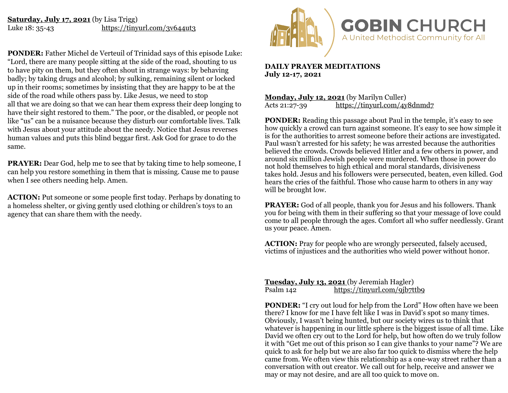## **Saturday, July 17, 2021** (by Lisa Trigg) Luke 18: 35-43 <https://tinyurl.com/3v644ut3>

**PONDER:** Father Michel de Verteuil of Trinidad says of this episode Luke: "Lord, there are many people sitting at the side of the road, shouting to us to have pity on them, but they often shout in strange ways: by behaving badly; by taking drugs and alcohol; by sulking, remaining silent or locked up in their rooms; sometimes by insisting that they are happy to be at the side of the road while others pass by. Like Jesus, we need to stop all that we are doing so that we can hear them express their deep longing to have their sight restored to them." The poor, or the disabled, or people not like "us" can be a nuisance because they disturb our comfortable lives. Talk with Jesus about your attitude about the needy. Notice that Jesus reverses human values and puts this blind beggar first. Ask God for grace to do the same.

**PRAYER:** Dear God, help me to see that by taking time to help someone, I can help you restore something in them that is missing. Cause me to pause when I see others needing help. Amen.

**ACTION:** Put someone or some people first today. Perhaps by donating to a homeless shelter, or giving gently used clothing or children's toys to an agency that can share them with the needy.



**DAILY PRAYER MEDITATIONS July 12-17, 2021** 

**Monday, July 12, 2021** (by Marilyn Culler)<br>Acts 21:27-39 https://tinyurl.com/4y <https://tinyurl.com/4y8dnmd7>

**PONDER:** Reading this passage about Paul in the temple, it's easy to see how quickly a crowd can turn against someone. It's easy to see how simple it is for the authorities to arrest someone before their actions are investigated. Paul wasn't arrested for his safety; he was arrested because the authorities believed the crowds. Crowds believed Hitler and a few others in power, and around six million Jewish people were murdered. When those in power do not hold themselves to high ethical and moral standards, divisiveness takes hold. Jesus and his followers were persecuted, beaten, even killed. God hears the cries of the faithful. Those who cause harm to others in any way will be brought low.

**PRAYER:** God of all people, thank you for Jesus and his followers. Thank you for being with them in their suffering so that your message of love could come to all people through the ages. Comfort all who suffer needlessly. Grant us your peace. Amen.

**ACTION:** Pray for people who are wrongly persecuted, falsely accused, victims of injustices and the authorities who wield power without honor.

**Tuesday, July 13, 2021** (by Jeremiah Hagler) Psalm 142 <https://tinyurl.com/9jb7ttb9>

**PONDER:** "I cry out loud for help from the Lord" How often have we been there? I know for me I have felt like I was in David's spot so many times. Obviously, I wasn't being hunted, but our society wires us to think that whatever is happening in our little sphere is the biggest issue of all time. Like David we often cry out to the Lord for help, but how often do we truly follow it with "Get me out of this prison so I can give thanks to your name"? We are quick to ask for help but we are also far too quick to dismiss where the help came from. We often view this relationship as a one-way street rather than a conversation with out creator. We call out for help, receive and answer we may or may not desire, and are all too quick to move on.